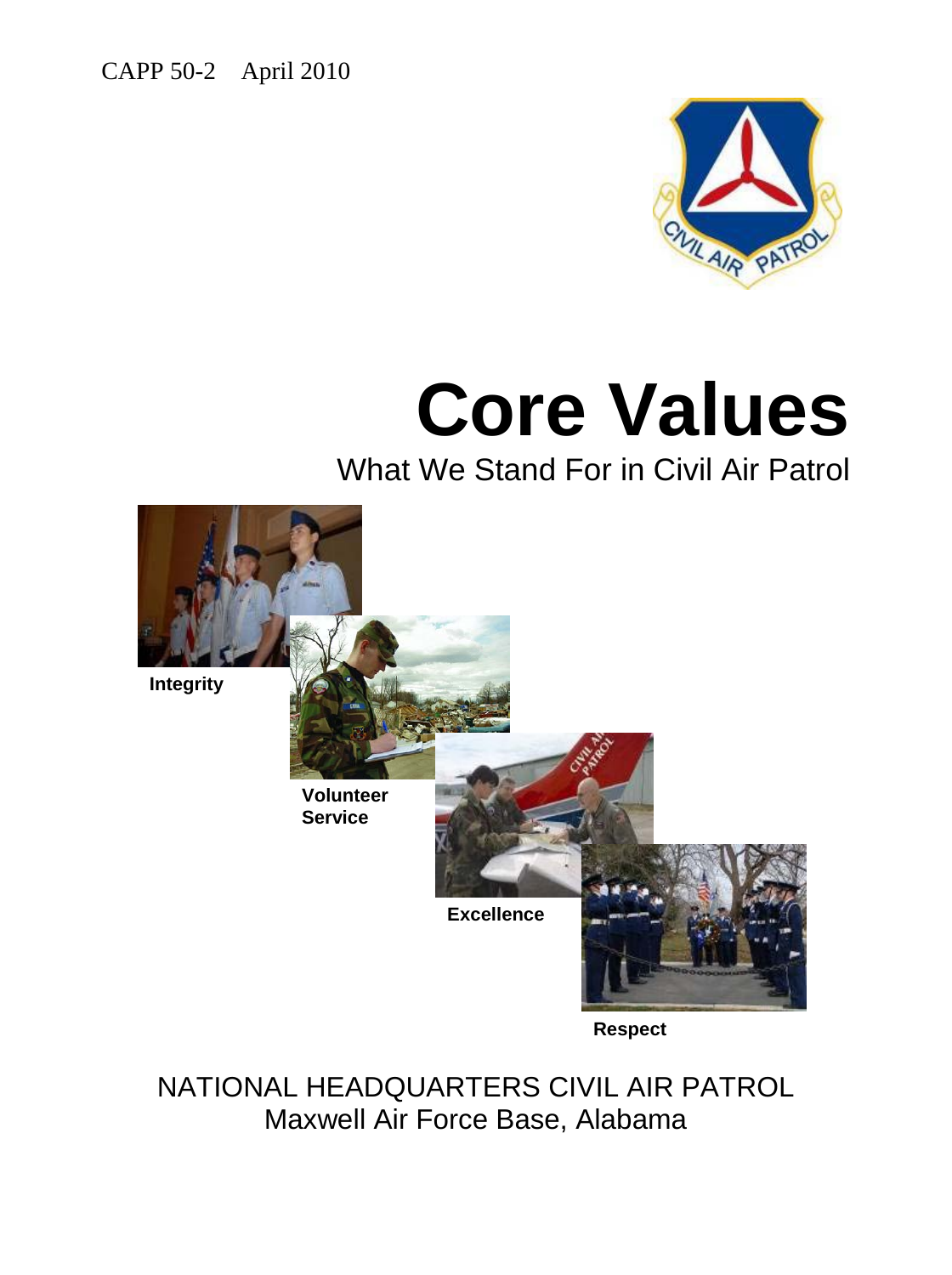CAPP 50-2 April 2010



# **Core Values**

What We Stand For in Civil Air Patrol



NATIONAL HEADQUARTERS CIVIL AIR PATROL Maxwell Air Force Base, Alabama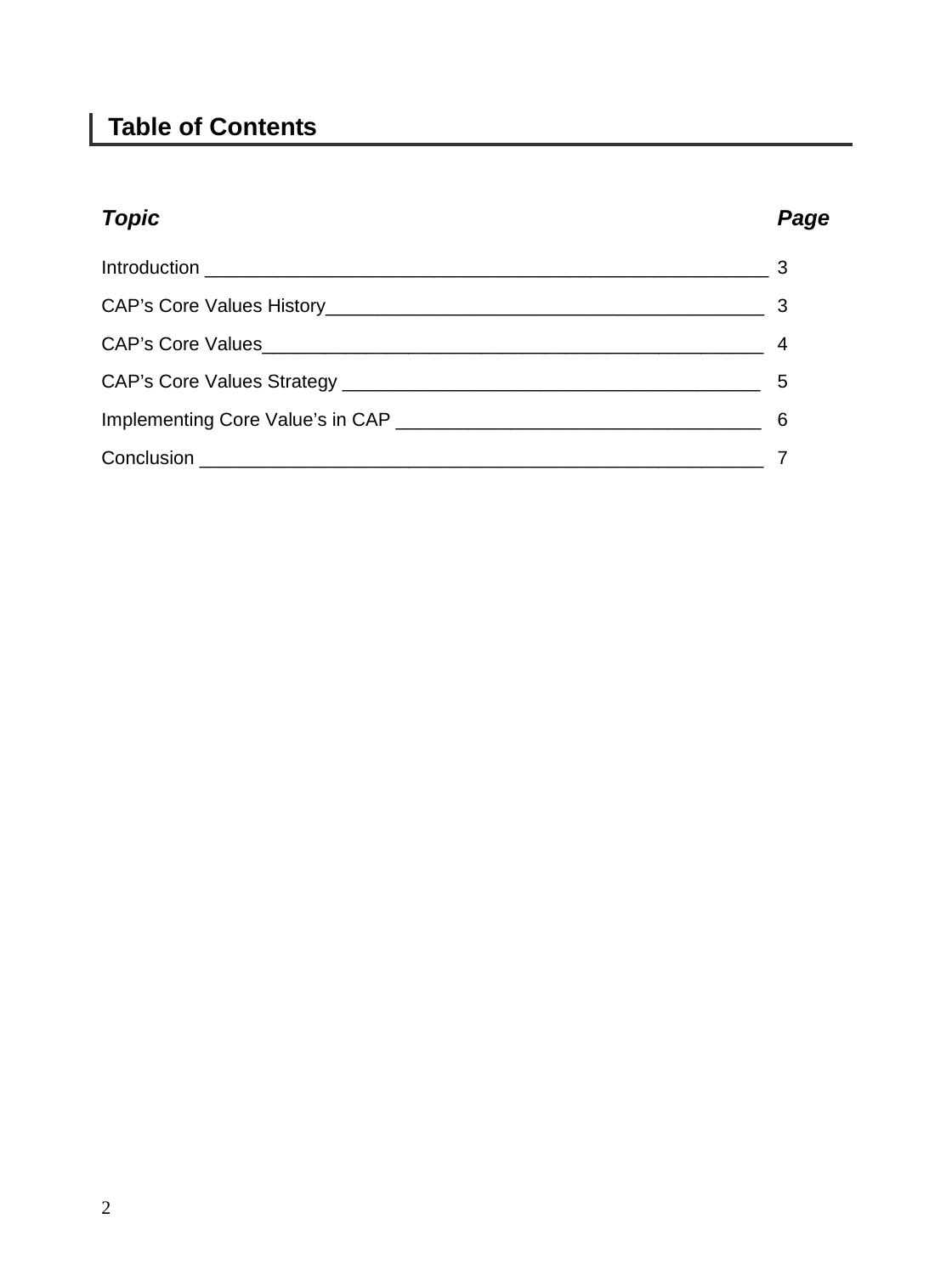## **Table of Contents**

## *Topic Page*

| $\mathbf{b}$ |
|--------------|
| 6            |
|              |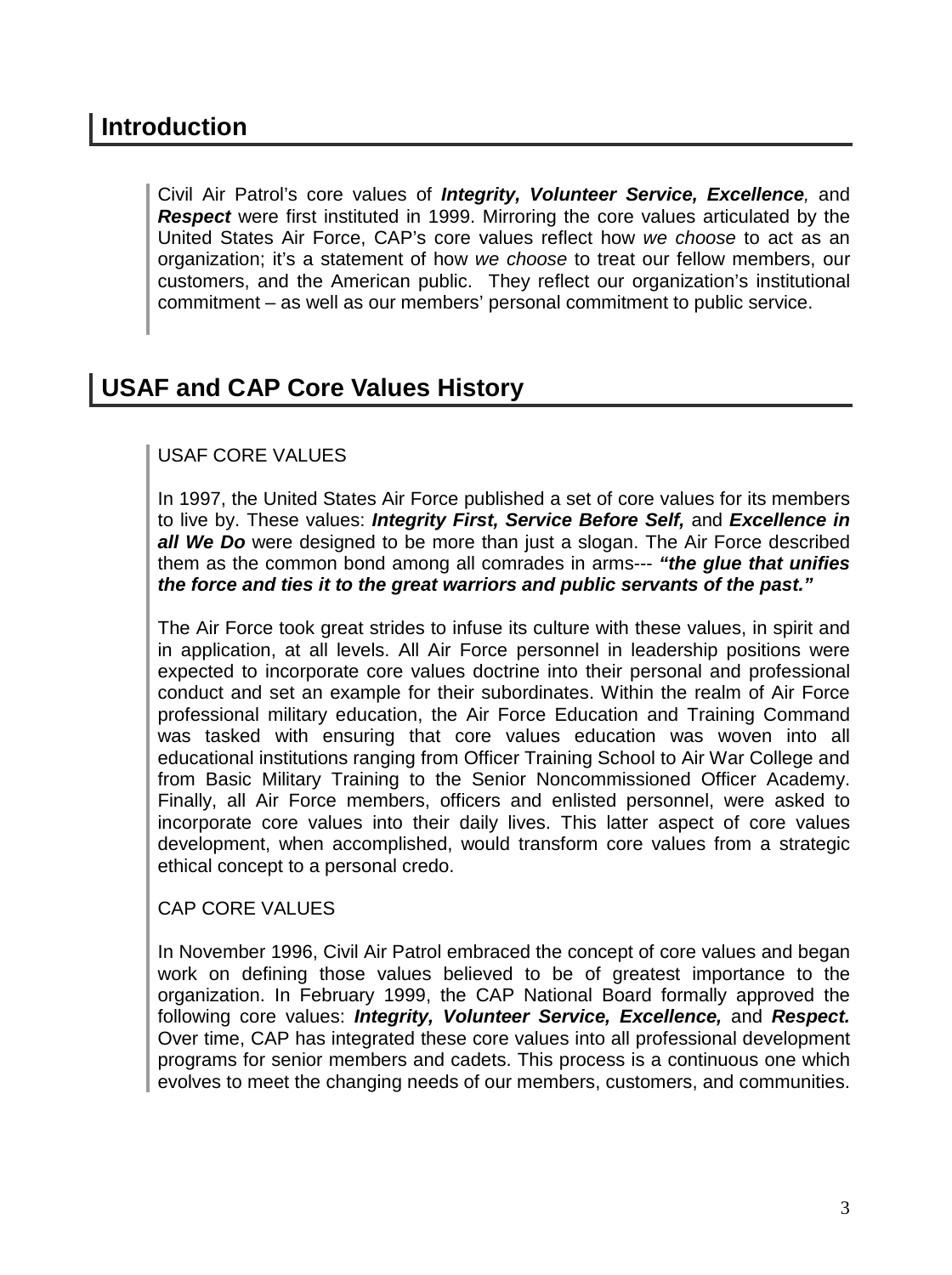## **Introduction**

Civil Air Patrol's core values of *Integrity, Volunteer Service, Excellence,* and *Respect* were first instituted in 1999. Mirroring the core values articulated by the United States Air Force, CAP's core values reflect how *we choose* to act as an organization; it's a statement of how *we choose* to treat our fellow members, our customers, and the American public. They reflect our organization's institutional commitment – as well as our members' personal commitment to public service.

## **USAF and CAP Core Values History**

### USAF CORE VALUES

In 1997, the United States Air Force published a set of core values for its members to live by. These values: *Integrity First, Service Before Self,* and *Excellence in*  **all We Do** were designed to be more than just a slogan. The Air Force described them as the common bond among all comrades in arms--- *"the glue that unifies the force and ties it to the great warriors and public servants of the past."*

The Air Force took great strides to infuse its culture with these values, in spirit and in application, at all levels. All Air Force personnel in leadership positions were expected to incorporate core values doctrine into their personal and professional conduct and set an example for their subordinates. Within the realm of Air Force professional military education, the Air Force Education and Training Command was tasked with ensuring that core values education was woven into all educational institutions ranging from Officer Training School to Air War College and from Basic Military Training to the Senior Noncommissioned Officer Academy. Finally, all Air Force members, officers and enlisted personnel, were asked to incorporate core values into their daily lives. This latter aspect of core values development, when accomplished, would transform core values from a strategic ethical concept to a personal credo.

#### CAP CORE VALUES

In November 1996, Civil Air Patrol embraced the concept of core values and began work on defining those values believed to be of greatest importance to the organization. In February 1999, the CAP National Board formally approved the following core values: *Integrity, Volunteer Service, Excellence,* and *Respect.*  Over time, CAP has integrated these core values into all professional development programs for senior members and cadets. This process is a continuous one which evolves to meet the changing needs of our members, customers, and communities.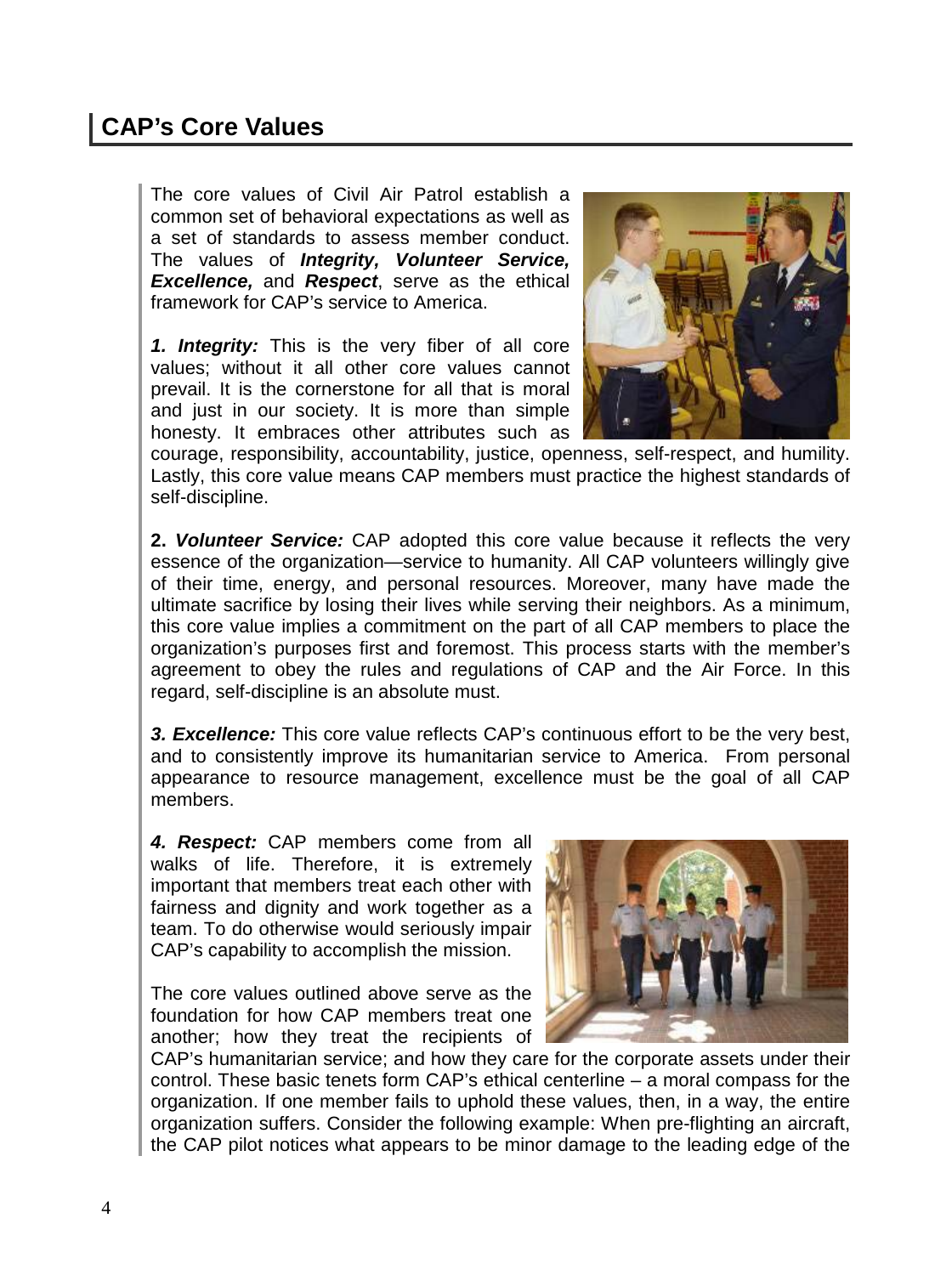## **CAP's Core Values**

The core values of Civil Air Patrol establish a common set of behavioral expectations as well as a set of standards to assess member conduct. The values of *Integrity, Volunteer Service, Excellence,* and *Respect*, serve as the ethical framework for CAP's service to America.

*1. Integrity:* This is the very fiber of all core values; without it all other core values cannot prevail. It is the cornerstone for all that is moral and just in our society. It is more than simple honesty. It embraces other attributes such as



courage, responsibility, accountability, justice, openness, self-respect, and humility. Lastly, this core value means CAP members must practice the highest standards of self-discipline.

**2.** *Volunteer Service:* CAP adopted this core value because it reflects the very essence of the organization—service to humanity. All CAP volunteers willingly give of their time, energy, and personal resources. Moreover, many have made the ultimate sacrifice by losing their lives while serving their neighbors. As a minimum, this core value implies a commitment on the part of all CAP members to place the organization's purposes first and foremost. This process starts with the member's agreement to obey the rules and regulations of CAP and the Air Force. In this regard, self-discipline is an absolute must.

*3. Excellence:* This core value reflects CAP's continuous effort to be the very best, and to consistently improve its humanitarian service to America. From personal appearance to resource management, excellence must be the goal of all CAP members.

*4. Respect:* CAP members come from all walks of life. Therefore, it is extremely important that members treat each other with fairness and dignity and work together as a team. To do otherwise would seriously impair CAP's capability to accomplish the mission.

The core values outlined above serve as the foundation for how CAP members treat one another; how they treat the recipients of



CAP's humanitarian service; and how they care for the corporate assets under their control. These basic tenets form CAP's ethical centerline – a moral compass for the organization. If one member fails to uphold these values, then, in a way, the entire organization suffers. Consider the following example: When pre-flighting an aircraft, the CAP pilot notices what appears to be minor damage to the leading edge of the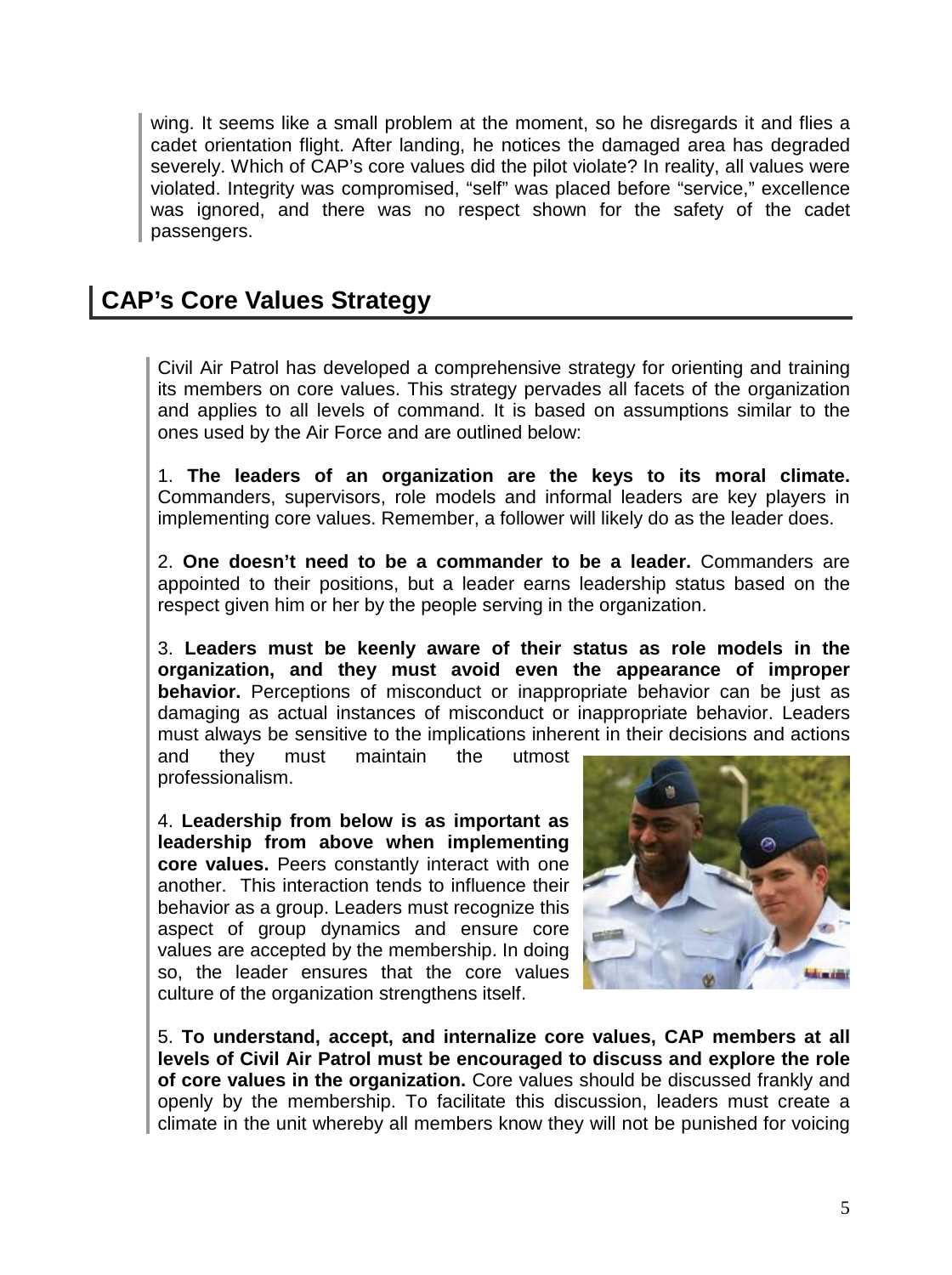wing. It seems like a small problem at the moment, so he disregards it and flies a cadet orientation flight. After landing, he notices the damaged area has degraded severely. Which of CAP's core values did the pilot violate? In reality, all values were violated. Integrity was compromised, "self" was placed before "service," excellence was ignored, and there was no respect shown for the safety of the cadet passengers.

## **CAP's Core Values Strategy**

Civil Air Patrol has developed a comprehensive strategy for orienting and training its members on core values. This strategy pervades all facets of the organization and applies to all levels of command. It is based on assumptions similar to the ones used by the Air Force and are outlined below:

1. **The leaders of an organization are the keys to its moral climate.** Commanders, supervisors, role models and informal leaders are key players in implementing core values. Remember, a follower will likely do as the leader does.

2. **One doesn't need to be a commander to be a leader.** Commanders are appointed to their positions, but a leader earns leadership status based on the respect given him or her by the people serving in the organization.

3. **Leaders must be keenly aware of their status as role models in the organization, and they must avoid even the appearance of improper behavior.** Perceptions of misconduct or inappropriate behavior can be just as damaging as actual instances of misconduct or inappropriate behavior. Leaders must always be sensitive to the implications inherent in their decisions and actions

and they must maintain the utmost professionalism.

4. **Leadership from below is as important as leadership from above when implementing core values.** Peers constantly interact with one another. This interaction tends to influence their behavior as a group. Leaders must recognize this aspect of group dynamics and ensure core values are accepted by the membership. In doing so, the leader ensures that the core values culture of the organization strengthens itself.



5. **To understand, accept, and internalize core values, CAP members at all levels of Civil Air Patrol must be encouraged to discuss and explore the role of core values in the organization.** Core values should be discussed frankly and openly by the membership. To facilitate this discussion, leaders must create a climate in the unit whereby all members know they will not be punished for voicing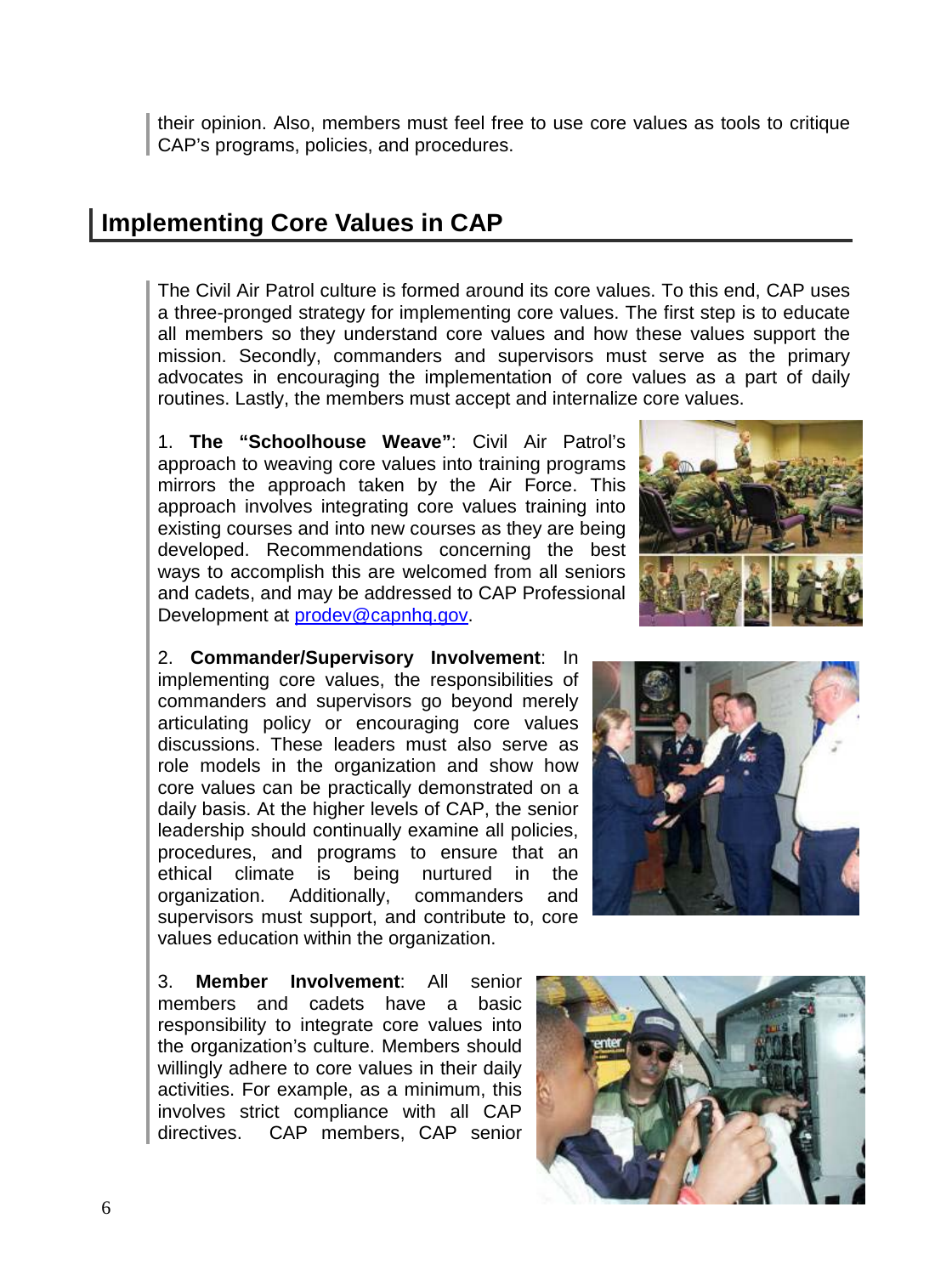their opinion. Also, members must feel free to use core values as tools to critique CAP's programs, policies, and procedures.

## **Implementing Core Values in CAP**

The Civil Air Patrol culture is formed around its core values. To this end, CAP uses a three-pronged strategy for implementing core values. The first step is to educate all members so they understand core values and how these values support the mission. Secondly, commanders and supervisors must serve as the primary advocates in encouraging the implementation of core values as a part of daily routines. Lastly, the members must accept and internalize core values.

1. **The "Schoolhouse Weave"**: Civil Air Patrol's approach to weaving core values into training programs mirrors the approach taken by the Air Force. This approach involves integrating core values training into existing courses and into new courses as they are being developed. Recommendations concerning the best ways to accomplish this are welcomed from all seniors and cadets, and may be addressed to CAP Professional Development at [prodev@capnhq.gov.](mailto:prodev@capnhq.gov)

2. **Commander/Supervisory Involvement**: In implementing core values, the responsibilities of commanders and supervisors go beyond merely articulating policy or encouraging core values discussions. These leaders must also serve as role models in the organization and show how core values can be practically demonstrated on a daily basis. At the higher levels of CAP, the senior leadership should continually examine all policies, procedures, and programs to ensure that an ethical climate is being nurtured in the organization. Additionally, commanders and supervisors must support, and contribute to, core values education within the organization.

3. **Member Involvement**: All senior members and cadets have a basic responsibility to integrate core values into the organization's culture. Members should willingly adhere to core values in their daily activities. For example, as a minimum, this involves strict compliance with all CAP directives. CAP members, CAP senior





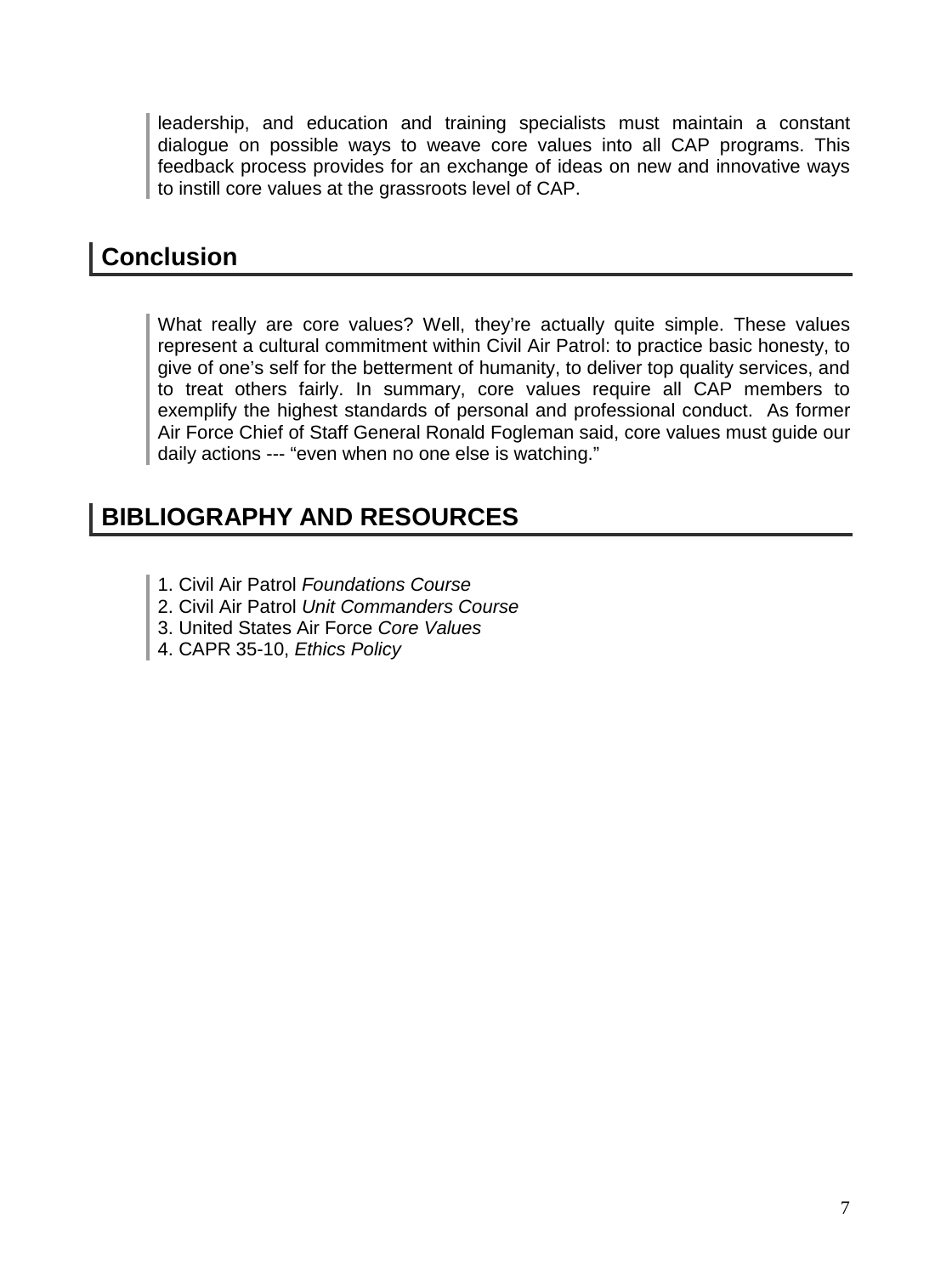leadership, and education and training specialists must maintain a constant dialogue on possible ways to weave core values into all CAP programs. This feedback process provides for an exchange of ideas on new and innovative ways to instill core values at the grassroots level of CAP.

## **Conclusion**

What really are core values? Well, they're actually quite simple. These values represent a cultural commitment within Civil Air Patrol: to practice basic honesty, to give of one's self for the betterment of humanity, to deliver top quality services, and to treat others fairly. In summary, core values require all CAP members to exemplify the highest standards of personal and professional conduct. As former Air Force Chief of Staff General Ronald Fogleman said, core values must guide our daily actions --- "even when no one else is watching."

## **BIBLIOGRAPHY AND RESOURCES**

- 1. Civil Air Patrol *Foundations Course*
- 2. Civil Air Patrol *Unit Commanders Course*
- 3. United States Air Force *Core Values*
- 4. CAPR 35-10, *Ethics Policy*